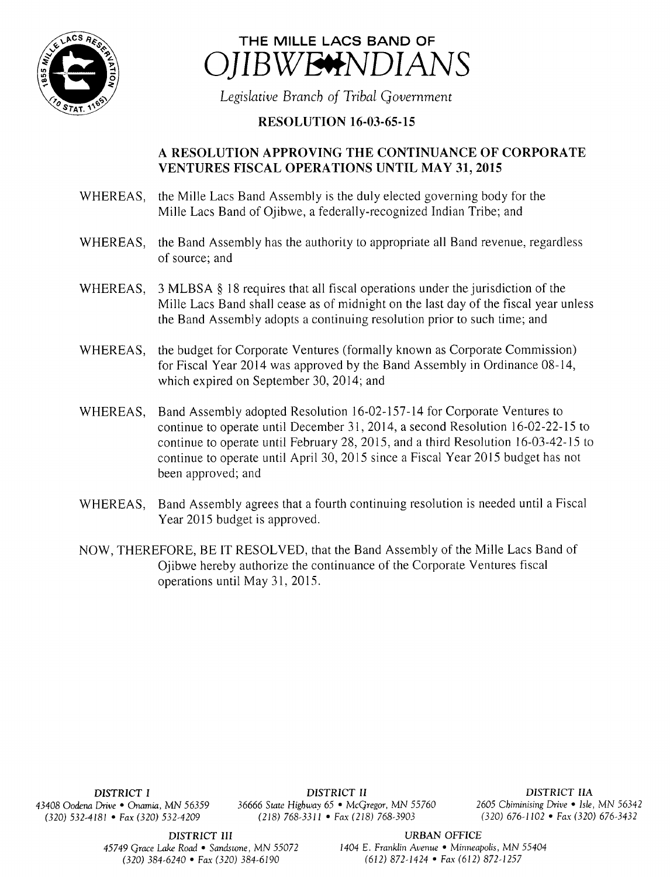



Legislative Branch of Tribal Government

## **RESOLUTION 16-03-65-15**

## A RESOLUTION APPROVING THE CONTINUANCE OF CORPORATE VENTURES FISCAL OPERATIONS UNTIL MAY 31, 2015

- WHEREAS, the Mille Lacs Band Assembly is the duly elected governing body for the Mille Lacs Band of Ojibwe, a federally-recognized Indian Tribe; and
- WHEREAS, the Band Assembly has the authority to appropriate all Band revenue, regardless of source; and
- WHEREAS, 3 MLBSA § 18 requires that all fiscal operations under the jurisdiction of the Mille Lacs Band shall cease as of midnight on the last day of the fiscal year unless the Band Assembly adopts <sup>a</sup> continuing resolution prior to such time; and
- WHEREAS, the budget for Corporate Ventures (formally known as Corporate Commission) for Fiscal Year 2014 was approved by the Band Assembly in Ordinance 08- 14, which expired on September 30, 2014; and
- WHEREAS, Band Assembly adopted Resolution 16-02-157-14 for Corporate Ventures to continue to operate until December 31, 2014, a second Resolution 16-02-22-15 to continue to operate until February 28, 2015, and a third Resolution  $16-03-42-15$  to continue to operate until April 30, 2015 since <sup>a</sup> Fiscal Year 2015 budget has not been approved; and
- WHEREAS, Band Assembly agrees that <sup>a</sup> fourth continuing resolution is needed until <sup>a</sup> Fiscal Year 2015 budget is approved.
- NOW, THEREFORE, BE IT RESOLVED, that the Band Assembly of the Mille Lacs Band of Ojibwe hereby authorize the continuance of the Corporate Ventures fiscal operations until May 31, 2015.

DISTRICT I DISTRICT II DISTRICT IIA 43408 Oodena Drive • Onamia, MN 56359 36666 State Highway 65 • McGregor, MN 55760 2605 Chiminising Drive • Isle, MN 56342  $(218)$  768-3311 • Fax(218) 768-3903

45749 Grace Lake Road • Sandstone, MN 55072 1404 E. Franklin Avenue • Minneapolis, MN 55404 320) 384- 6240 • Fax( 320) 384- 6190 612) 872- 1424 • Fax( 612) 872- 1257